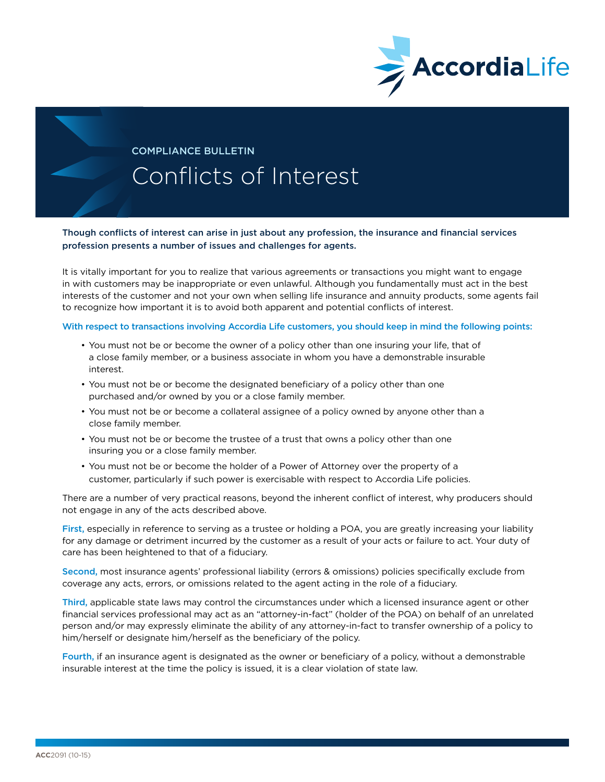

## COMPLIANCE BULLETIN Conflicts of Interest

Though conflicts of interest can arise in just about any profession, the insurance and financial services profession presents a number of issues and challenges for agents.

It is vitally important for you to realize that various agreements or transactions you might want to engage in with customers may be inappropriate or even unlawful. Although you fundamentally must act in the best interests of the customer and not your own when selling life insurance and annuity products, some agents fail to recognize how important it is to avoid both apparent and potential conflicts of interest.

## With respect to transactions involving Accordia Life customers, you should keep in mind the following points:

- You must not be or become the owner of a policy other than one insuring your life, that of a close family member, or a business associate in whom you have a demonstrable insurable interest.
- You must not be or become the designated beneficiary of a policy other than one purchased and/or owned by you or a close family member.
- You must not be or become a collateral assignee of a policy owned by anyone other than a close family member.
- You must not be or become the trustee of a trust that owns a policy other than one insuring you or a close family member.
- You must not be or become the holder of a Power of Attorney over the property of a customer, particularly if such power is exercisable with respect to Accordia Life policies.

There are a number of very practical reasons, beyond the inherent conflict of interest, why producers should not engage in any of the acts described above.

First, especially in reference to serving as a trustee or holding a POA, you are greatly increasing your liability for any damage or detriment incurred by the customer as a result of your acts or failure to act. Your duty of care has been heightened to that of a fiduciary.

Second, most insurance agents' professional liability (errors & omissions) policies specifically exclude from coverage any acts, errors, or omissions related to the agent acting in the role of a fiduciary.

Third, applicable state laws may control the circumstances under which a licensed insurance agent or other financial services professional may act as an "attorney-in-fact" (holder of the POA) on behalf of an unrelated person and/or may expressly eliminate the ability of any attorney-in-fact to transfer ownership of a policy to him/herself or designate him/herself as the beneficiary of the policy.

Fourth, if an insurance agent is designated as the owner or beneficiary of a policy, without a demonstrable insurable interest at the time the policy is issued, it is a clear violation of state law.